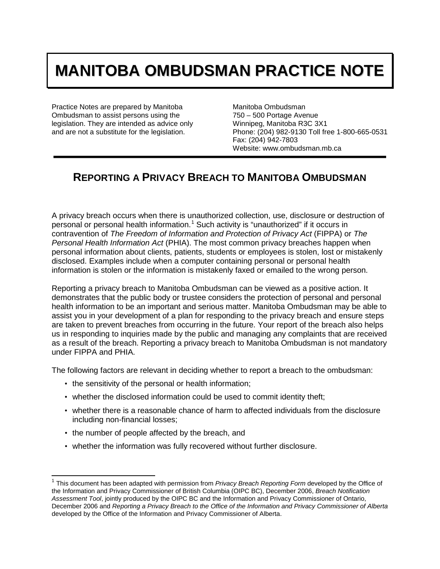# **MANITOBA OMBUDSMAN PRACTICE NOTE**

Practice Notes are prepared by Manitoba Ombudsman to assist persons using the legislation. They are intended as advice only and are not a substitute for the legislation.

Manitoba Ombudsman 750 – 500 Portage Avenue Winnipeg, Manitoba R3C 3X1 Phone: (204) 982-9130 Toll free 1-800-665-0531 Fax: (204) 942-7803 Website: www.ombudsman.mb.ca

# **REPORTING A PRIVACY BREACH TO MANITOBA OMBUDSMAN**

A privacy breach occurs when there is unauthorized collection, use, disclosure or destruction of personal or personal health information.<sup>[1](#page-0-0)</sup> Such activity is "unauthorized" if it occurs in contravention of *The Freedom of Information and Protection of Privacy Act* (FIPPA) or *The Personal Health Information Act* (PHIA). The most common privacy breaches happen when personal information about clients, patients, students or employees is stolen, lost or mistakenly disclosed. Examples include when a computer containing personal or personal health information is stolen or the information is mistakenly faxed or emailed to the wrong person.

Reporting a privacy breach to Manitoba Ombudsman can be viewed as a positive action. It demonstrates that the public body or trustee considers the protection of personal and personal health information to be an important and serious matter. Manitoba Ombudsman may be able to assist you in your development of a plan for responding to the privacy breach and ensure steps are taken to prevent breaches from occurring in the future. Your report of the breach also helps us in responding to inquiries made by the public and managing any complaints that are received as a result of the breach. Reporting a privacy breach to Manitoba Ombudsman is not mandatory under FIPPA and PHIA.

The following factors are relevant in deciding whether to report a breach to the ombudsman:

- the sensitivity of the personal or health information;
- whether the disclosed information could be used to commit identity theft;
- whether there is a reasonable chance of harm to affected individuals from the disclosure including non-financial losses;
- the number of people affected by the breach, and
- whether the information was fully recovered without further disclosure.

<span id="page-0-0"></span> <sup>1</sup> This document has been adapted with permission from *Privacy Breach Reporting Form* developed by the Office of the Information and Privacy Commissioner of British Columbia (OIPC BC), December 2006, *Breach Notification Assessment Tool*, jointly produced by the OIPC BC and the Information and Privacy Commissioner of Ontario, December 2006 and *Reporting a Privacy Breach to the Office of the Information and Privacy Commissioner of Alberta* developed by the Office of the Information and Privacy Commissioner of Alberta.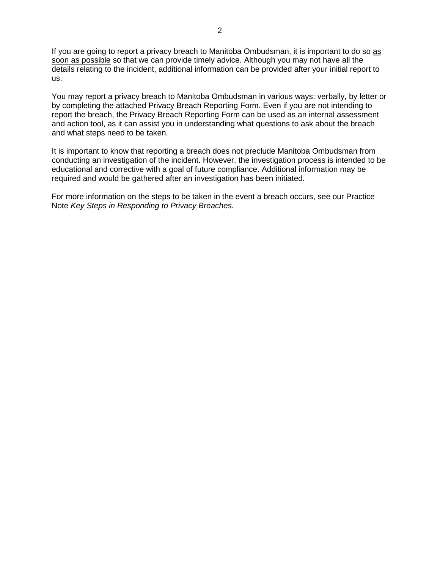If you are going to report a privacy breach to Manitoba Ombudsman, it is important to do so as soon as possible so that we can provide timely advice. Although you may not have all the details relating to the incident, additional information can be provided after your initial report to us.

You may report a privacy breach to Manitoba Ombudsman in various ways: verbally, by letter or by completing the attached Privacy Breach Reporting Form. Even if you are not intending to report the breach, the Privacy Breach Reporting Form can be used as an internal assessment and action tool, as it can assist you in understanding what questions to ask about the breach and what steps need to be taken.

It is important to know that reporting a breach does not preclude Manitoba Ombudsman from conducting an investigation of the incident. However, the investigation process is intended to be educational and corrective with a goal of future compliance. Additional information may be required and would be gathered after an investigation has been initiated.

For more information on the steps to be taken in the event a breach occurs, see our Practice Note *Key Steps in Responding to Privacy Breaches.*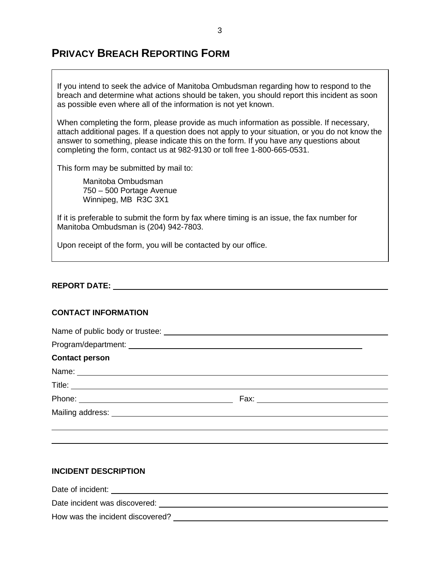# **PRIVACY BREACH REPORTING FORM**

If you intend to seek the advice of Manitoba Ombudsman regarding how to respond to the breach and determine what actions should be taken, you should report this incident as soon as possible even where all of the information is not yet known.

When completing the form, please provide as much information as possible. If necessary, attach additional pages. If a question does not apply to your situation, or you do not know the answer to something, please indicate this on the form. If you have any questions about completing the form, contact us at 982-9130 or toll free 1-800-665-0531.

This form may be submitted by mail to:

Manitoba Ombudsman 750 – 500 Portage Avenue Winnipeg, MB R3C 3X1

If it is preferable to submit the form by fax where timing is an issue, the fax number for Manitoba Ombudsman is (204) 942-7803.

Upon receipt of the form, you will be contacted by our office.

#### **REPORT DATE:**

#### **CONTACT INFORMATION**

| <b>Contact person</b>                                                                                                                                                                                                                |                                |  |
|--------------------------------------------------------------------------------------------------------------------------------------------------------------------------------------------------------------------------------------|--------------------------------|--|
|                                                                                                                                                                                                                                      |                                |  |
| Title: <u>the second contract of the second contract of the second contract of the second contract of the second contract of the second contract of the second contract of the second contract of the second contract of the sec</u> |                                |  |
|                                                                                                                                                                                                                                      | Fax: _________________________ |  |
|                                                                                                                                                                                                                                      |                                |  |
|                                                                                                                                                                                                                                      |                                |  |
|                                                                                                                                                                                                                                      |                                |  |

## **INCIDENT DESCRIPTION**

Date of incident:

Date incident was discovered:  $\blacksquare$ 

How was the incident discovered? The state of the state of the incident discovered?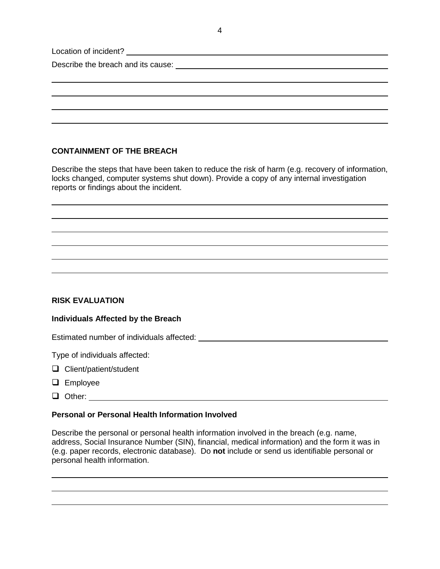Location of incident?

Describe the breach and its cause: **Describe the breach and its cause: Described in the cause of the cause of the cause of the cause of the cause of the cause of the cause of the cause of the cause of the cause of the ca** 

### **CONTAINMENT OF THE BREACH**

Describe the steps that have been taken to reduce the risk of harm (e.g. recovery of information, locks changed, computer systems shut down). Provide a copy of any internal investigation reports or findings about the incident.

## **RISK EVALUATION**

#### **Individuals Affected by the Breach**

Estimated number of individuals affected:

Type of individuals affected:

- $\Box$  Client/patient/student
- **Q** Employee
- Other:  $\Box$  Other:

#### **Personal or Personal Health Information Involved**

Describe the personal or personal health information involved in the breach (e.g. name, address, Social Insurance Number (SIN), financial, medical information) and the form it was in (e.g. paper records, electronic database). Do **not** include or send us identifiable personal or personal health information.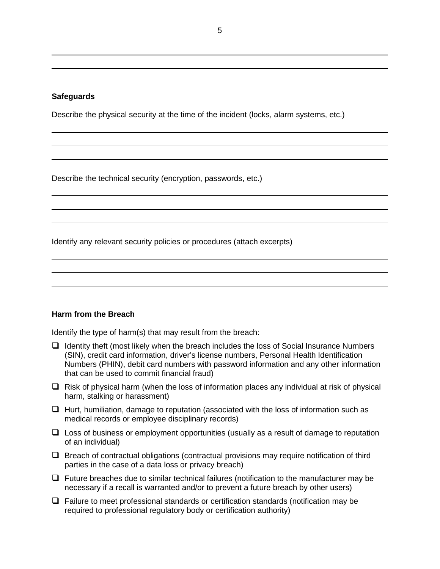#### **Safeguards**

Describe the physical security at the time of the incident (locks, alarm systems, etc.)

Describe the technical security (encryption, passwords, etc.)

Identify any relevant security policies or procedures (attach excerpts)

#### **Harm from the Breach**

Identify the type of harm(s) that may result from the breach:

- $\Box$  Identity theft (most likely when the breach includes the loss of Social Insurance Numbers (SIN), credit card information, driver's license numbers, Personal Health Identification Numbers (PHIN), debit card numbers with password information and any other information that can be used to commit financial fraud)
- $\Box$  Risk of physical harm (when the loss of information places any individual at risk of physical harm, stalking or harassment)
- $\Box$  Hurt, humiliation, damage to reputation (associated with the loss of information such as medical records or employee disciplinary records)
- $\Box$  Loss of business or employment opportunities (usually as a result of damage to reputation of an individual)
- $\Box$  Breach of contractual obligations (contractual provisions may require notification of third parties in the case of a data loss or privacy breach)
- $\Box$  Future breaches due to similar technical failures (notification to the manufacturer may be necessary if a recall is warranted and/or to prevent a future breach by other users)
- $\Box$  Failure to meet professional standards or certification standards (notification may be required to professional regulatory body or certification authority)